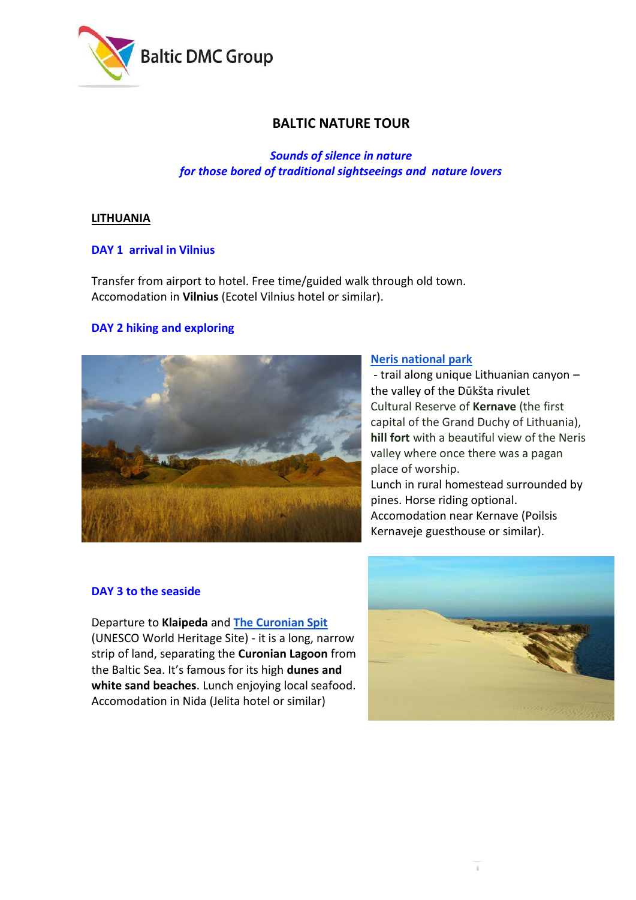

# **BALTIC NATURE TOUR**

*Sounds of silence in nature for those bored of traditional sightseeings and nature lovers*

### **LITHUANIA**

## **DAY 1 arrival in Vilnius**

Transfer from airport to hotel. Free time/guided walk through old town. Accomodation in **Vilnius** (Ecotel Vilnius hotel or similar).

## **DAY 2 hiking and exploring**



### **[Neris national park](https://neriesparkas.lt/en/marsrutai/dukstos-pazintinis-takas/)**

- trail along unique Lithuanian canyon – the valley of the Dūkšta rivulet Cultural Reserve of **Kernave** (the first capital of the Grand Duchy of Lithuania), **hill fort** with a beautiful view of the Neris valley where once there was a pagan place of worship.

Lunch in rural homestead surrounded by pines. Horse riding optional. Accomodation near Kernave (Poilsis Kernaveje guesthouse or similar).

### **DAY 3 to the seaside**

Departure to **Klaipeda** and **[The Curonian Spit](http://www.lithuania.travel/en-gb/attractions/-national-park-of-the-curonian-spit/17136)**  (UNESCO World Heritage Site) - it is a long, narrow strip of land, separating the **Curonian Lagoon** from the Baltic Sea. It's famous for its high **dunes and white sand beaches**. Lunch enjoying local seafood. Accomodation in Nida (Jelita hotel or similar)

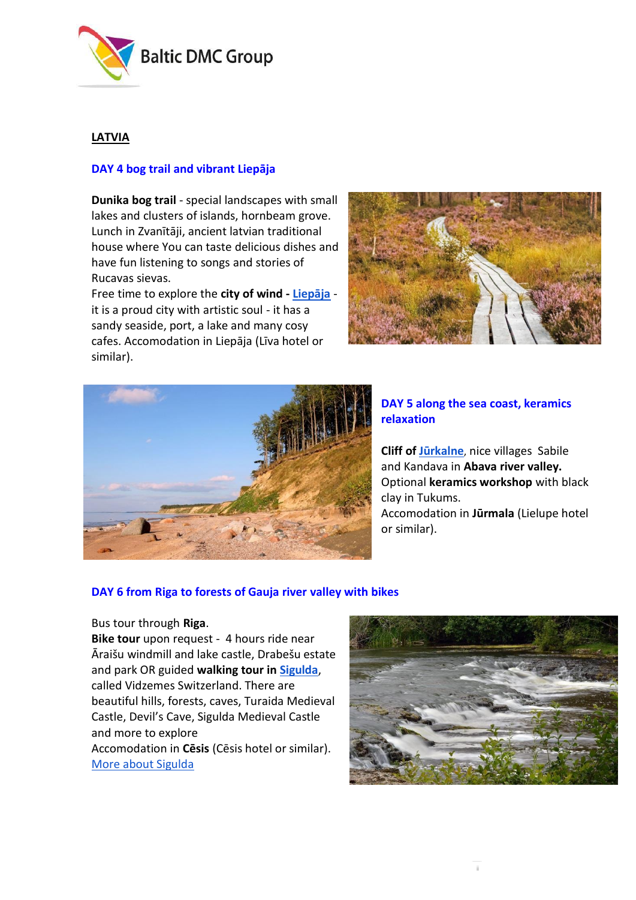

## **LATVIA**

## **DAY 4 bog trail and vibrant Liepāja**

**Dunika bog trail** - special landscapes with small lakes and clusters of islands, hornbeam grove. Lunch in Zvanītāji, ancient latvian traditional house where You can taste delicious dishes and have fun listening to songs and stories of Rucavas sievas.

Free time to explore the **city of wind - [Liepāja](http://www.latvia.travel/en/city/liepaja-8)** it is a proud city with artistic soul - it has a sandy seaside, port, a lake and many cosy cafes. Accomodation in Liepāja (Līva hotel or similar).





## **DAY 5 along the sea coast, keramics relaxation**

**Cliff of [Jūrkalne](http://www.latvia.travel/en/sight/jurkalne-seashore-bluffs)**, nice villages Sabile and Kandava in **Abava river valley.**  Optional **keramics workshop** with black clay in Tukums. Accomodation in **Jūrmala** (Lielupe hotel or similar).

### **DAY 6 from Riga to forests of Gauja river valley with bikes**

#### Bus tour through **Riga**.

**Bike tour** upon request - 4 hours ride near Āraišu windmill and lake castle, Drabešu estate and park OR guided **walking tour i[n Sigulda](http://tourism.sigulda.lv/hiking-eng/)**, called Vidzemes Switzerland. There are beautiful hills, forests, caves, Turaida Medieval Castle, Devil's Cave, Sigulda Medieval Castle and more to explore Accomodation in **Cēsis** (Cēsis hotel or similar). [More about Sigulda](https://www.youtube.com/watch?time_continue=98&v=S1YxzYTxz_Y)

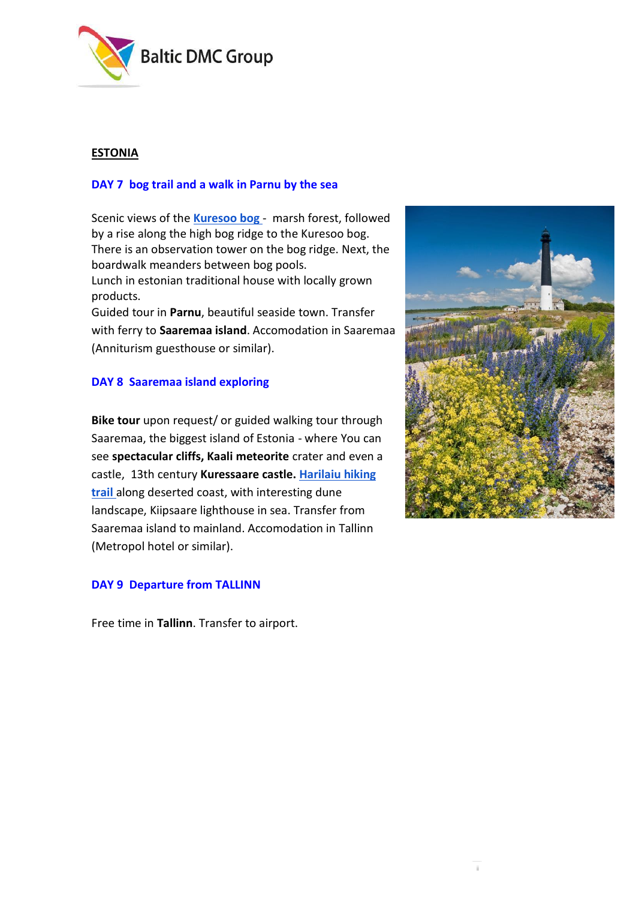

## **ESTONIA**

## **DAY 7 bog trail and a walk in Parnu by the sea**

Scenic views of the **[Kuresoo bog](https://loodusegakoos.ee/kuhuminna/rahvuspargid/soomaa-rahvuspark/1281)** [-](https://loodusegakoos.ee/kuhuminna/rahvuspargid/soomaa-rahvuspark/1281) marsh forest, followed by a rise along the high bog ridge to the Kuresoo bog. There is an observation tower on the bog ridge. Next, the boardwalk meanders between bog pools. Lunch in estonian traditional house with locally grown products.

Guided tour in **Parnu**, beautiful seaside town. Transfer with ferry to **Saaremaa island**. Accomodation in Saaremaa (Anniturism guesthouse or similar).

## **DAY 8 Saaremaa island exploring**

**Bike tour** upon request/ or guided walking tour through Saaremaa, the biggest island of Estonia - where You can see **spectacular cliffs, Kaali meteorite** crater and even a castle, 13th century **Kuressaare castle. [Harilaiu hiking](https://www.visitestonia.com/en/harilaiu-hiking-trails)  [trail](https://www.visitestonia.com/en/harilaiu-hiking-trails)** along deserted coast, with interesting dune landscape, Kiipsaare lighthouse in sea. Transfer from Saaremaa island to mainland. Accomodation in Tallinn (Metropol hotel or similar).

## **DAY 9 Departure from TALLINN**

Free time in **Tallinn**. Transfer to airport.